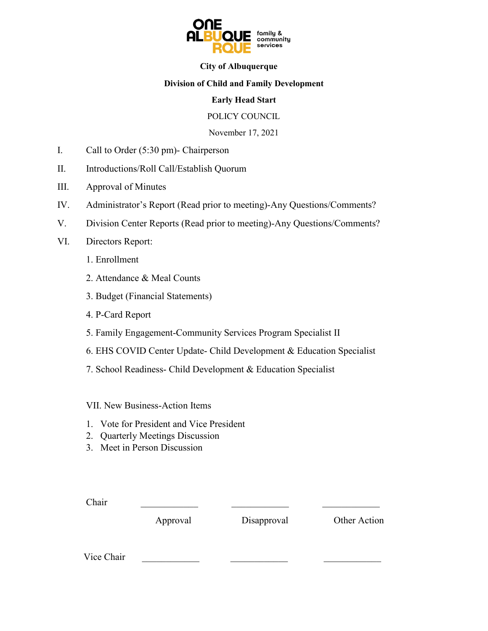

#### **City of Albuquerque**

#### **Division of Child and Family Development**

#### **Early Head Start**

POLICY COUNCIL

November 17, 2021

- I. Call to Order (5:30 pm)- Chairperson
- II. Introductions/Roll Call/Establish Quorum
- III. Approval of Minutes
- IV. Administrator's Report (Read prior to meeting)-Any Questions/Comments?
- V. Division Center Reports (Read prior to meeting)-Any Questions/Comments?
- VI. Directors Report:
	- 1. Enrollment
	- 2. Attendance & Meal Counts
	- 3. Budget (Financial Statements)
	- 4. P-Card Report
	- 5. Family Engagement-Community Services Program Specialist II
	- 6. EHS COVID Center Update- Child Development & Education Specialist
	- 7. School Readiness- Child Development & Education Specialist

VII. New Business-Action Items

- 1. Vote for President and Vice President
- 2. Quarterly Meetings Discussion
- 3. Meet in Person Discussion

Chair \_\_\_\_\_\_\_\_\_\_\_\_ \_\_\_\_\_\_\_\_\_\_\_\_ \_\_\_\_\_\_\_\_\_\_\_\_

Approval Disapproval Other Action

Vice Chair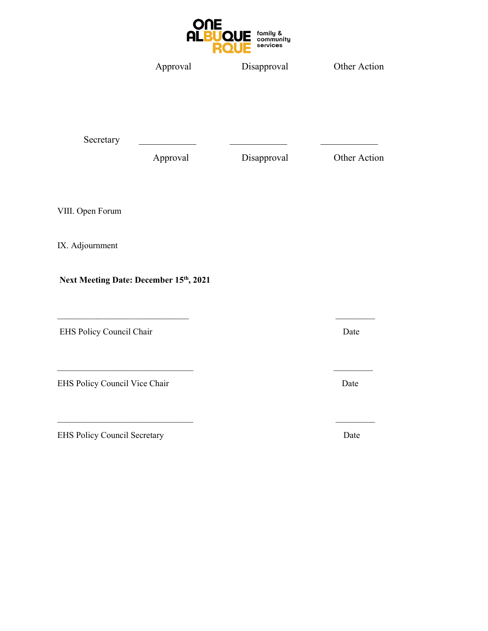

 Approval Disapproval Other Action Secretary \_\_\_\_\_\_\_\_\_\_\_\_ \_\_\_\_\_\_\_\_\_\_\_\_ \_\_\_\_\_\_\_\_\_\_\_\_ Approval Disapproval Other Action VIII. Open Forum IX. Adjournment **Next Meeting Date: December 15th, 2021**  \_\_\_\_\_\_\_\_\_\_\_\_\_\_\_\_\_\_\_\_\_\_\_\_\_\_\_\_\_\_ \_\_\_\_\_\_\_\_\_ EHS Policy Council Chair Date  $\_$ EHS Policy Council Vice Chair Date  $\_$ EHS Policy Council Secretary Date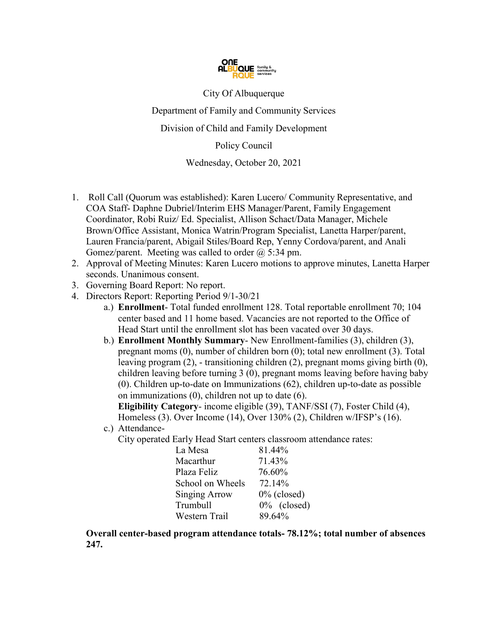

City Of Albuquerque

Department of Family and Community Services

Division of Child and Family Development

Policy Council

Wednesday, October 20, 2021

- 1. Roll Call (Quorum was established): Karen Lucero/ Community Representative, and COA Staff- Daphne Dubriel/Interim EHS Manager/Parent, Family Engagement Coordinator, Robi Ruiz/ Ed. Specialist, Allison Schact/Data Manager, Michele Brown/Office Assistant, Monica Watrin/Program Specialist, Lanetta Harper/parent, Lauren Francia/parent, Abigail Stiles/Board Rep, Yenny Cordova/parent, and Anali Gomez/parent. Meeting was called to order  $\omega$  5:34 pm.
- 2. Approval of Meeting Minutes: Karen Lucero motions to approve minutes, Lanetta Harper seconds. Unanimous consent.
- 3. Governing Board Report: No report.
- 4. Directors Report: Reporting Period 9/1-30/21
	- a.) **Enrollment** Total funded enrollment 128. Total reportable enrollment 70; 104 center based and 11 home based. Vacancies are not reported to the Office of Head Start until the enrollment slot has been vacated over 30 days.
	- b.) **Enrollment Monthly Summary** New Enrollment-families (3), children (3), pregnant moms (0), number of children born (0); total new enrollment (3). Total leaving program (2), - transitioning children (2), pregnant moms giving birth (0), children leaving before turning 3 (0), pregnant moms leaving before having baby (0). Children up-to-date on Immunizations (62), children up-to-date as possible on immunizations (0), children not up to date (6).

**Eligibility Category**- income eligible (39), TANF/SSI (7), Foster Child (4), Homeless (3). Over Income (14), Over 130% (2), Children w/IFSP's (16).

c.) Attendance-

City operated Early Head Start centers classroom attendance rates:

| La Mesa              | 81.44%         |
|----------------------|----------------|
| Macarthur            | 71.43%         |
| Plaza Feliz          | 76.60%         |
| School on Wheels     | 72.14%         |
| <b>Singing Arrow</b> | $0\%$ (closed) |
| <b>Trumbull</b>      | $0\%$ (closed) |
| Western Trail        | 89.64%         |
|                      |                |

**Overall center-based program attendance totals- 78.12%; total number of absences 247.**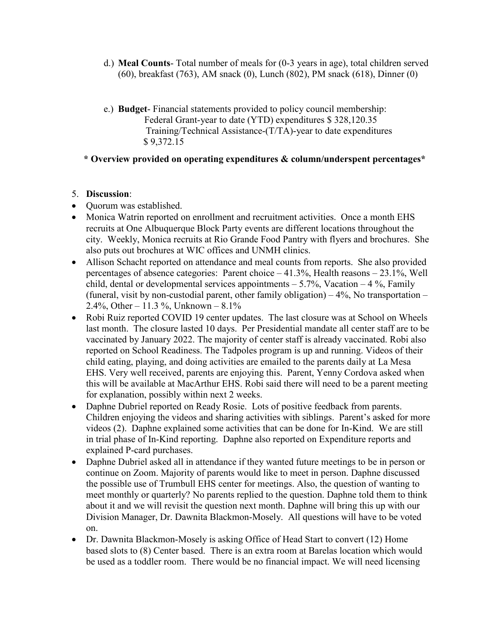- d.) **Meal Counts** Total number of meals for (0-3 years in age), total children served (60), breakfast (763), AM snack (0), Lunch (802), PM snack (618), Dinner (0)
- e.) **Budget** Financial statements provided to policy council membership: Federal Grant-year to date (YTD) expenditures \$ 328,120.35 Training/Technical Assistance-(T/TA)-year to date expenditures \$ 9,372.15

# **\* Overview provided on operating expenditures & column/underspent percentages\***

# 5. **Discussion**:

- Quorum was established.
- Monica Watrin reported on enrollment and recruitment activities. Once a month EHS recruits at One Albuquerque Block Party events are different locations throughout the city. Weekly, Monica recruits at Rio Grande Food Pantry with flyers and brochures. She also puts out brochures at WIC offices and UNMH clinics.
- Allison Schacht reported on attendance and meal counts from reports. She also provided percentages of absence categories: Parent choice – 41.3%, Health reasons – 23.1%, Well child, dental or developmental services appointments  $-5.7\%$ , Vacation  $-4\%$ , Family (funeral, visit by non-custodial parent, other family obligation)  $-4\%$ , No transportation  $-$ 2.4%, Other – 11.3 %, Unknown –  $8.1\%$
- Robi Ruiz reported COVID 19 center updates. The last closure was at School on Wheels last month. The closure lasted 10 days. Per Presidential mandate all center staff are to be vaccinated by January 2022. The majority of center staff is already vaccinated. Robi also reported on School Readiness. The Tadpoles program is up and running. Videos of their child eating, playing, and doing activities are emailed to the parents daily at La Mesa EHS. Very well received, parents are enjoying this. Parent, Yenny Cordova asked when this will be available at MacArthur EHS. Robi said there will need to be a parent meeting for explanation, possibly within next 2 weeks.
- Daphne Dubriel reported on Ready Rosie. Lots of positive feedback from parents. Children enjoying the videos and sharing activities with siblings. Parent's asked for more videos (2). Daphne explained some activities that can be done for In-Kind. We are still in trial phase of In-Kind reporting. Daphne also reported on Expenditure reports and explained P-card purchases.
- Daphne Dubriel asked all in attendance if they wanted future meetings to be in person or continue on Zoom. Majority of parents would like to meet in person. Daphne discussed the possible use of Trumbull EHS center for meetings. Also, the question of wanting to meet monthly or quarterly? No parents replied to the question. Daphne told them to think about it and we will revisit the question next month. Daphne will bring this up with our Division Manager, Dr. Dawnita Blackmon-Mosely. All questions will have to be voted on.
- Dr. Dawnita Blackmon-Mosely is asking Office of Head Start to convert (12) Home based slots to (8) Center based. There is an extra room at Barelas location which would be used as a toddler room. There would be no financial impact. We will need licensing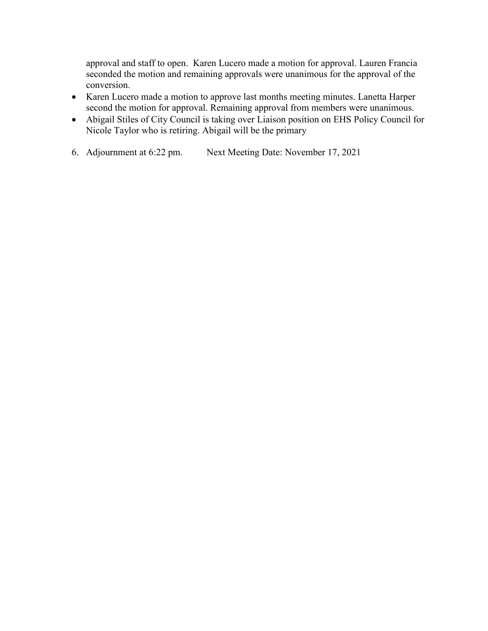approval and staff to open. Karen Lucero made a motion for approval. Lauren Francia seconded the motion and remaining approvals were unanimous for the approval of the conversion.

- Karen Lucero made a motion to approve last months meeting minutes. Lanetta Harper second the motion for approval. Remaining approval from members were unanimous.
- Abigail Stiles of City Council is taking over Liaison position on EHS Policy Council for Nicole Taylor who is retiring. Abigail will be the primary
- 6. Adjournment at 6:22 pm. Next Meeting Date: November 17, 2021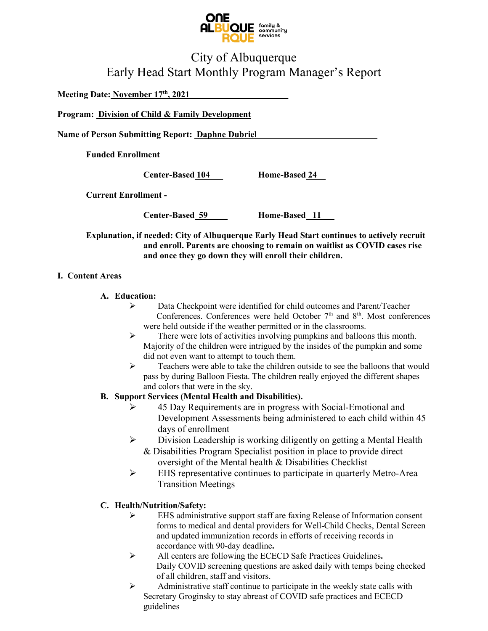

# City of Albuquerque Early Head Start Monthly Program Manager's Report

**Meeting Date: November 17th, 2021 \_\_\_\_\_\_\_\_\_\_\_\_\_\_\_\_\_\_\_\_\_\_**

**Program: Division of Child & Family Development** 

Name of Person Submitting Report: **Daphne Dubriel** 

**Funded Enrollment** 

**Center-Based 104\_\_\_ Home-Based 24\_\_**

**Current Enrollment -** 

**Center-Based 59 \_\_\_\_ Home-Based \_11\_\_\_**

**Explanation, if needed: City of Albuquerque Early Head Start continues to actively recruit and enroll. Parents are choosing to remain on waitlist as COVID cases rise and once they go down they will enroll their children.** 

#### **I. Content Areas**

#### **A. Education:**

- Data Checkpoint were identified for child outcomes and Parent/Teacher Conferences. Conferences were held October  $7<sup>th</sup>$  and  $8<sup>th</sup>$ . Most conferences were held outside if the weather permitted or in the classrooms.
- $\triangleright$  There were lots of activities involving pumpkins and balloons this month. Majority of the children were intrigued by the insides of the pumpkin and some did not even want to attempt to touch them.
- $\triangleright$  Teachers were able to take the children outside to see the balloons that would pass by during Balloon Fiesta. The children really enjoyed the different shapes and colors that were in the sky.

## **B. Support Services (Mental Health and Disabilities).**

- 45 Day Requirements are in progress with Social-Emotional and Development Assessments being administered to each child within 45 days of enrollment
- $\triangleright$  Division Leadership is working diligently on getting a Mental Health & Disabilities Program Specialist position in place to provide direct oversight of the Mental health & Disabilities Checklist
- EHS representative continues to participate in quarterly Metro-Area Transition Meetings

## **C. Health/Nutrition/Safety:**

- $\triangleright$  EHS administrative support staff are faxing Release of Information consent forms to medical and dental providers for Well-Child Checks, Dental Screen and updated immunization records in efforts of receiving records in accordance with 90-day deadline**.**
- All centers are following the ECECD Safe Practices Guidelines**.** Daily COVID screening questions are asked daily with temps being checked of all children, staff and visitors.
- $\triangleright$  Administrative staff continue to participate in the weekly state calls with Secretary Groginsky to stay abreast of COVID safe practices and ECECD guidelines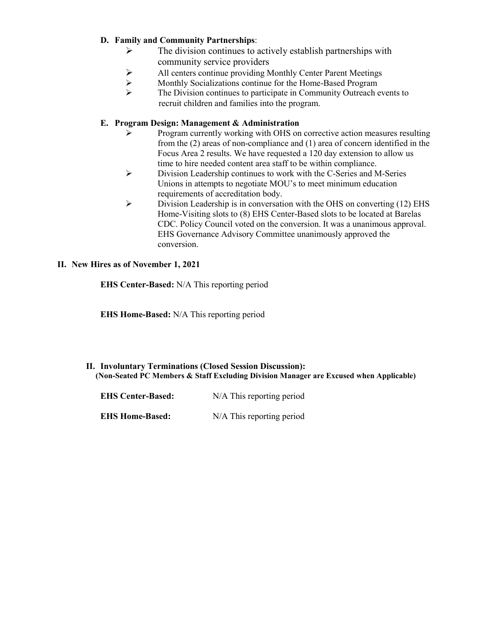## **D. Family and Community Partnerships**:

- $\triangleright$  The division continues to actively establish partnerships with community service providers
- All centers continue providing Monthly Center Parent Meetings<br>
All centers continues continue for the Home-Based Program<br>
All Continues to participate in Community Outreach expansion continues to participate in Community O
- Monthly Socializations continue for the Home-Based Program
- The Division continues to participate in Community Outreach events to recruit children and families into the program.

## **E. Program Design: Management & Administration**

- $\triangleright$  Program currently working with OHS on corrective action measures resulting from the (2) areas of non-compliance and (1) area of concern identified in the Focus Area 2 results. We have requested a 120 day extension to allow us time to hire needed content area staff to be within compliance.
- $\triangleright$  Division Leadership continues to work with the C-Series and M-Series Unions in attempts to negotiate MOU's to meet minimum education requirements of accreditation body.
- $\triangleright$  Division Leadership is in conversation with the OHS on converting (12) EHS Home-Visiting slots to (8) EHS Center-Based slots to be located at Barelas CDC. Policy Council voted on the conversion. It was a unanimous approval. EHS Governance Advisory Committee unanimously approved the conversion.

#### **II. New Hires as of November 1, 2021**

**EHS Center-Based:** N/A This reporting period

**EHS Home-Based:** N/A This reporting period

#### **II. Involuntary Terminations (Closed Session Discussion): (Non-Seated PC Members & Staff Excluding Division Manager are Excused when Applicable)**

| <b>EHS Center-Based:</b> | N/A This reporting period |
|--------------------------|---------------------------|
| <b>EHS Home-Based:</b>   | N/A This reporting period |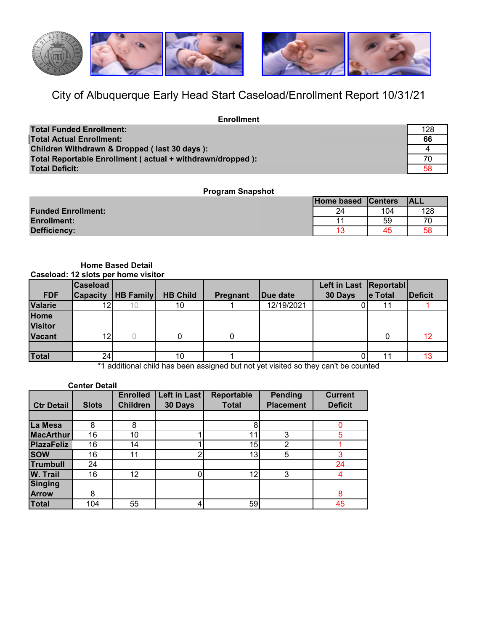

# City of Albuquerque Early Head Start Caseload/Enrollment Report 10/31/21

| <b>Enrollment</b>                                         |     |
|-----------------------------------------------------------|-----|
| <b>Total Funded Enrollment:</b>                           | 128 |
| <b>Total Actual Enrollment:</b>                           | 66  |
| Children Withdrawn & Dropped (last 30 days):              |     |
| Total Reportable Enrollment (actual + withdrawn/dropped): | 70  |
| Total Deficit:                                            |     |

# **Program Snapshot**

|                           | Home based Centers |     | <b>IALL</b> |
|---------------------------|--------------------|-----|-------------|
| <b>Funded Enrollment:</b> | 24                 | 104 | 128         |
| <b>Enrollment:</b>        | $-11$              | 59  |             |
| <b>Defficiency:</b>       | 12                 | 45  | 58          |

#### **Caseload: 12 slots per home visitor Home Based Detail**

|                | <b>Caseload</b> |                  |                 |          |            | Left in Last Reportabl |         |                |
|----------------|-----------------|------------------|-----------------|----------|------------|------------------------|---------|----------------|
| <b>FDF</b>     | <b>Capacity</b> | <b>HB Family</b> | <b>HB Child</b> | Pregnant | Due date   | 30 Days                | e Total | <b>Deficit</b> |
| <b>Valarie</b> | 12              |                  | 10              |          | 12/19/2021 |                        | 11      |                |
| <b>Home</b>    |                 |                  |                 |          |            |                        |         |                |
| <b>Visitor</b> |                 |                  |                 |          |            |                        |         |                |
| <b>Vacant</b>  | 12.             |                  |                 |          |            |                        |         | 12             |
|                |                 |                  |                 |          |            |                        |         |                |
| <b>Total</b>   | 24              |                  | 10              |          |            |                        | 11      |                |

\*1 additional child has been assigned but not yet visited so they can't be counted

|                   | <b>Center Detail</b> |                 |                     |                   |                  |                |
|-------------------|----------------------|-----------------|---------------------|-------------------|------------------|----------------|
|                   |                      | <b>Enrolled</b> | <b>Left in Last</b> | <b>Reportable</b> | <b>Pending</b>   | <b>Current</b> |
| <b>Ctr Detail</b> | <b>Slots</b>         | <b>Children</b> | 30 Days             | <b>Total</b>      | <b>Placement</b> | <b>Deficit</b> |
|                   |                      |                 |                     |                   |                  |                |
| La Mesa           | 8                    | 8               |                     | 8                 |                  |                |
| <b>MacArthur</b>  | 16                   | 10              |                     | 11                | 3                | 5              |
| <b>PlazaFeliz</b> | 16                   | 14              |                     | 15 <sub>1</sub>   | 2                |                |
| <b>ISOW</b>       | 16                   | 11              | າ<br>∠              | 13                | 5                | 3              |
| <b>Trumbull</b>   | 24                   |                 |                     |                   |                  | 24             |
| <b>W. Trail</b>   | 16                   | 12              |                     | 12                | 3                | 4              |
| <b>Singing</b>    |                      |                 |                     |                   |                  |                |
| <b>Arrow</b>      | 8                    |                 |                     |                   |                  | 8              |
| Total             | 104                  | 55              | 4                   | 59                |                  | 45             |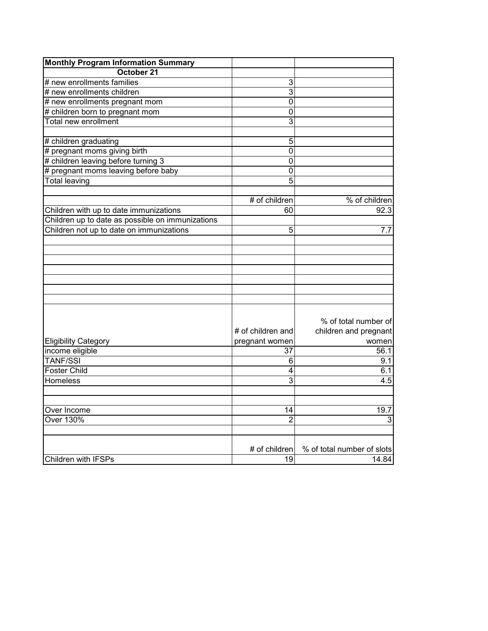| <b>Monthly Program Information Summary</b>       |                           |                            |
|--------------------------------------------------|---------------------------|----------------------------|
| October 21                                       |                           |                            |
| # new enrollments families                       | 3                         |                            |
| # new enrollments children                       | 3                         |                            |
| # new enrollments pregnant mom                   | 0                         |                            |
| # children born to pregnant mom                  | $\mathbf 0$               |                            |
| Total new enrollment                             | $\overline{\overline{3}}$ |                            |
|                                                  |                           |                            |
| # children graduating                            | 5                         |                            |
| # pregnant moms giving birth                     | 0                         |                            |
| # children leaving before turning 3              | $\overline{0}$            |                            |
| # pregnant moms leaving before baby              | $\mathbf 0$               |                            |
| <b>Total leaving</b>                             | 5                         |                            |
|                                                  |                           |                            |
|                                                  | # of children             | % of children              |
| Children with up to date immunizations           | 60                        | 92.3                       |
| Children up to date as possible on immunizations |                           |                            |
| Children not up to date on immunizations         | 5                         | 7.7                        |
|                                                  |                           |                            |
|                                                  |                           |                            |
|                                                  |                           |                            |
|                                                  |                           |                            |
|                                                  |                           |                            |
|                                                  |                           |                            |
|                                                  |                           | % of total number of       |
|                                                  | # of children and         | children and pregnant      |
| <b>Eligibility Category</b>                      | pregnant women            | women                      |
| income eligible                                  | 37                        | 56.1                       |
| <b>TANF/SSI</b>                                  | 6                         | 9.1                        |
| <b>Foster Child</b>                              | 4                         | 6.1                        |
| <b>Homeless</b>                                  | 3                         | 4.5                        |
|                                                  |                           |                            |
| Over Income                                      | 14                        | 19.7                       |
| <b>Over 130%</b>                                 | $\overline{2}$            | 3                          |
|                                                  |                           |                            |
|                                                  | # of children             | % of total number of slots |
| <b>Children with IFSPs</b>                       | 19                        | 14.84                      |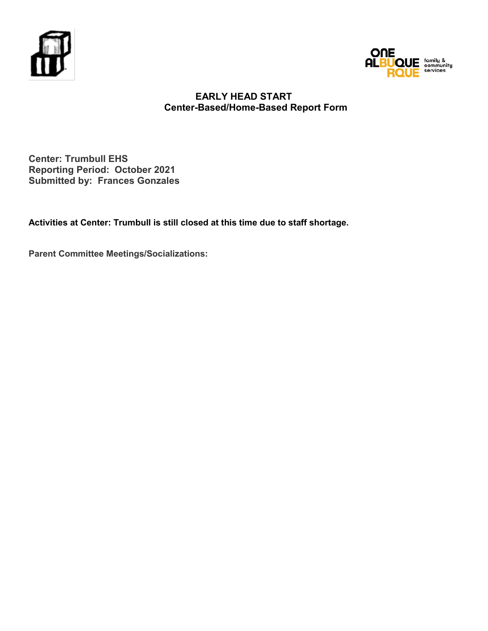



**Center: Trumbull EHS Reporting Period: October 2021 Submitted by: Frances Gonzales**

**Activities at Center: Trumbull is still closed at this time due to staff shortage.**

**Parent Committee Meetings/Socializations:**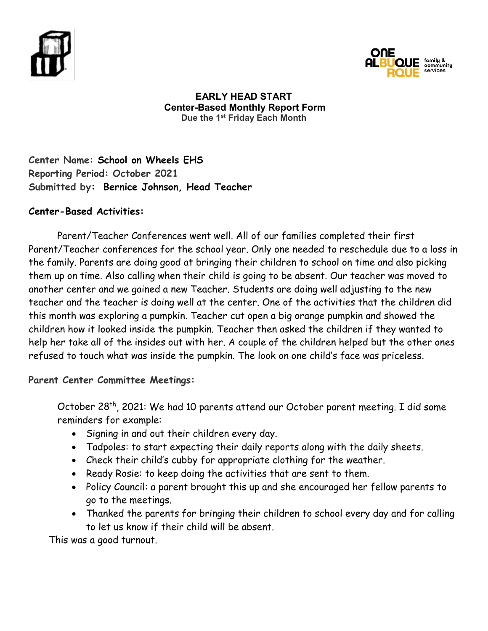



## **EARLY HEAD START Center-Based Monthly Report Form Due the 1st Friday Each Month**

**Center Name: School on Wheels EHS Reporting Period: October 2021 Submitted by: Bernice Johnson, Head Teacher**

# **Center-Based Activities:**

Parent/Teacher Conferences went well. All of our families completed their first Parent/Teacher conferences for the school year. Only one needed to reschedule due to a loss in the family. Parents are doing good at bringing their children to school on time and also picking them up on time. Also calling when their child is going to be absent. Our teacher was moved to another center and we gained a new Teacher. Students are doing well adjusting to the new teacher and the teacher is doing well at the center. One of the activities that the children did this month was exploring a pumpkin. Teacher cut open a big orange pumpkin and showed the children how it looked inside the pumpkin. Teacher then asked the children if they wanted to help her take all of the insides out with her. A couple of the children helped but the other ones refused to touch what was inside the pumpkin. The look on one child's face was priceless.

# **Parent Center Committee Meetings:**

October 28th, 2021: We had 10 parents attend our October parent meeting. I did some reminders for example:

- Signing in and out their children every day.
- Tadpoles: to start expecting their daily reports along with the daily sheets.
- Check their child's cubby for appropriate clothing for the weather.
- Ready Rosie: to keep doing the activities that are sent to them.
- Policy Council: a parent brought this up and she encouraged her fellow parents to go to the meetings.
- Thanked the parents for bringing their children to school every day and for calling to let us know if their child will be absent.

This was a good turnout.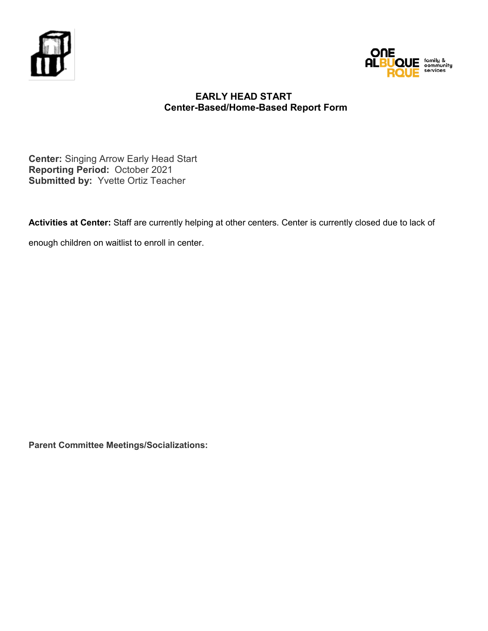



**Center:** Singing Arrow Early Head Start **Reporting Period:** October 2021 **Submitted by: Yvette Ortiz Teacher** 

**Activities at Center:** Staff are currently helping at other centers. Center is currently closed due to lack of

enough children on waitlist to enroll in center.

**Parent Committee Meetings/Socializations:**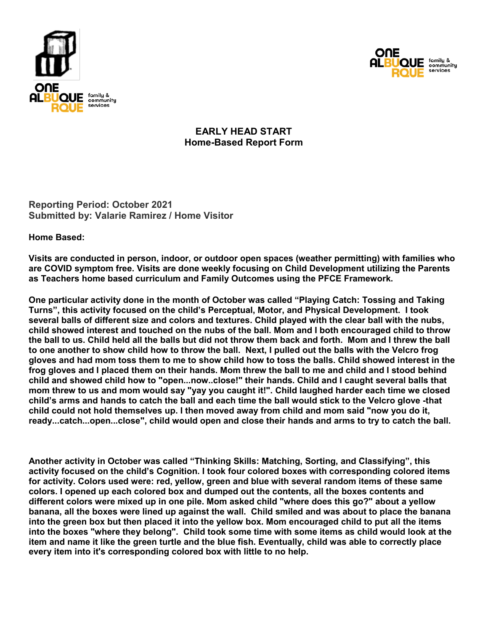



# **EARLY HEAD START Home-Based Report Form**

**Reporting Period: October 2021 Submitted by: Valarie Ramirez / Home Visitor**

**Home Based:** 

**Visits are conducted in person, indoor, or outdoor open spaces (weather permitting) with families who are COVID symptom free. Visits are done weekly focusing on Child Development utilizing the Parents as Teachers home based curriculum and Family Outcomes using the PFCE Framework.** 

**One particular activity done in the month of October was called "Playing Catch: Tossing and Taking Turns", this activity focused on the child's Perceptual, Motor, and Physical Development. I took several balls of different size and colors and textures. Child played with the clear ball with the nubs, child showed interest and touched on the nubs of the ball. Mom and I both encouraged child to throw the ball to us. Child held all the balls but did not throw them back and forth. Mom and I threw the ball to one another to show child how to throw the ball. Next, I pulled out the balls with the Velcro frog gloves and had mom toss them to me to show child how to toss the balls. Child showed interest in the frog gloves and I placed them on their hands. Mom threw the ball to me and child and I stood behind child and showed child how to "open...now..close!" their hands. Child and I caught several balls that mom threw to us and mom would say "yay you caught it!". Child laughed harder each time we closed child's arms and hands to catch the ball and each time the ball would stick to the Velcro glove -that child could not hold themselves up. I then moved away from child and mom said "now you do it, ready...catch...open...close", child would open and close their hands and arms to try to catch the ball.**

**Another activity in October was called "Thinking Skills: Matching, Sorting, and Classifying", this activity focused on the child's Cognition. I took four colored boxes with corresponding colored items for activity. Colors used were: red, yellow, green and blue with several random items of these same colors. I opened up each colored box and dumped out the contents, all the boxes contents and different colors were mixed up in one pile. Mom asked child "where does this go?" about a yellow banana, all the boxes were lined up against the wall. Child smiled and was about to place the banana into the green box but then placed it into the yellow box. Mom encouraged child to put all the items into the boxes "where they belong". Child took some time with some items as child would look at the item and name it like the green turtle and the blue fish. Eventually, child was able to correctly place every item into it's corresponding colored box with little to no help.**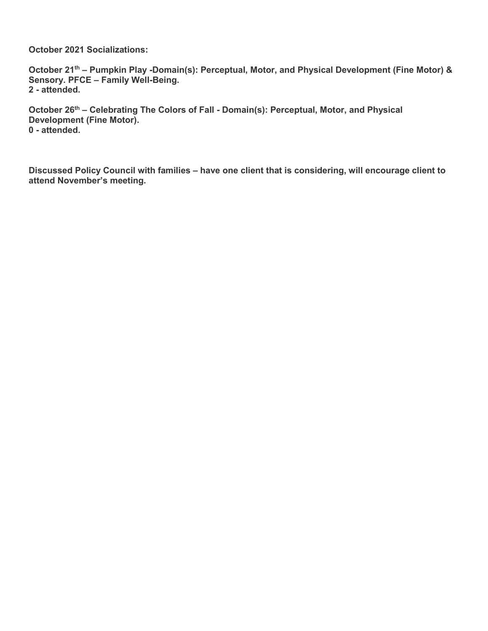**October 2021 Socializations:**

**October 21th – Pumpkin Play -Domain(s): Perceptual, Motor, and Physical Development (Fine Motor) & Sensory. PFCE – Family Well-Being. 2 - attended.** 

**October 26th – Celebrating The Colors of Fall - Domain(s): Perceptual, Motor, and Physical Development (Fine Motor). 0 - attended.**

**Discussed Policy Council with families – have one client that is considering, will encourage client to attend November's meeting.**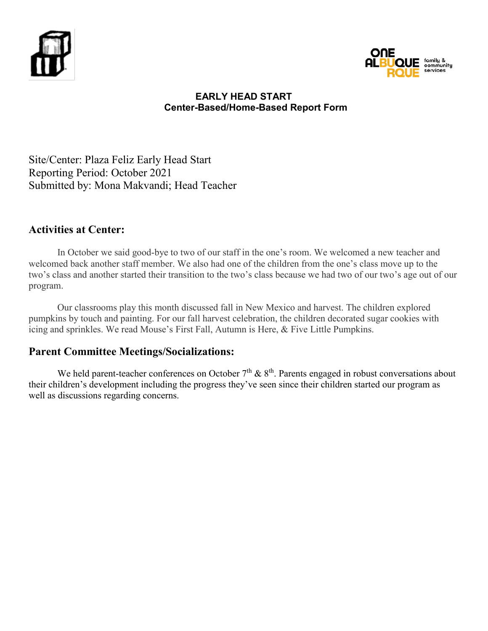



Site/Center: Plaza Feliz Early Head Start Reporting Period: October 2021 Submitted by: Mona Makvandi; Head Teacher

# **Activities at Center:**

In October we said good-bye to two of our staff in the one's room. We welcomed a new teacher and welcomed back another staff member. We also had one of the children from the one's class move up to the two's class and another started their transition to the two's class because we had two of our two's age out of our program.

Our classrooms play this month discussed fall in New Mexico and harvest. The children explored pumpkins by touch and painting. For our fall harvest celebration, the children decorated sugar cookies with icing and sprinkles. We read Mouse's First Fall, Autumn is Here, & Five Little Pumpkins.

# **Parent Committee Meetings/Socializations:**

We held parent-teacher conferences on October  $7<sup>th</sup>$  &  $8<sup>th</sup>$ . Parents engaged in robust conversations about their children's development including the progress they've seen since their children started our program as well as discussions regarding concerns.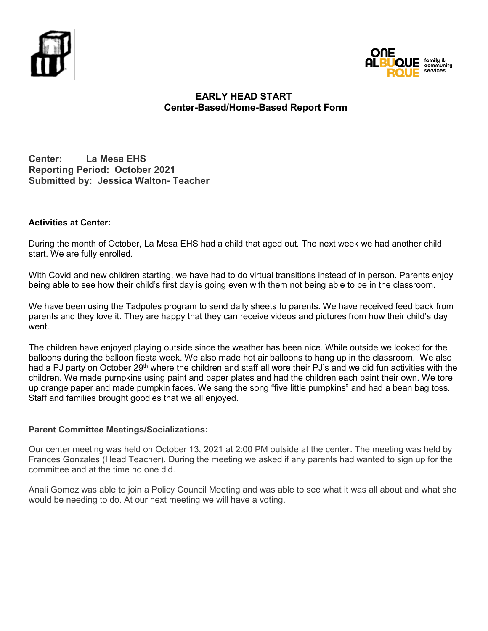



**Center: La Mesa EHS Reporting Period: October 2021 Submitted by: Jessica Walton- Teacher**

## **Activities at Center:**

During the month of October, La Mesa EHS had a child that aged out. The next week we had another child start. We are fully enrolled.

With Covid and new children starting, we have had to do virtual transitions instead of in person. Parents enjoy being able to see how their child's first day is going even with them not being able to be in the classroom.

We have been using the Tadpoles program to send daily sheets to parents. We have received feed back from parents and they love it. They are happy that they can receive videos and pictures from how their child's day went.

The children have enjoyed playing outside since the weather has been nice. While outside we looked for the balloons during the balloon fiesta week. We also made hot air balloons to hang up in the classroom. We also had a PJ party on October 29<sup>th</sup> where the children and staff all wore their PJ's and we did fun activities with the children. We made pumpkins using paint and paper plates and had the children each paint their own. We tore up orange paper and made pumpkin faces. We sang the song "five little pumpkins" and had a bean bag toss. Staff and families brought goodies that we all enjoyed.

## **Parent Committee Meetings/Socializations:**

Our center meeting was held on October 13, 2021 at 2:00 PM outside at the center. The meeting was held by Frances Gonzales (Head Teacher). During the meeting we asked if any parents had wanted to sign up for the committee and at the time no one did.

Anali Gomez was able to join a Policy Council Meeting and was able to see what it was all about and what she would be needing to do. At our next meeting we will have a voting.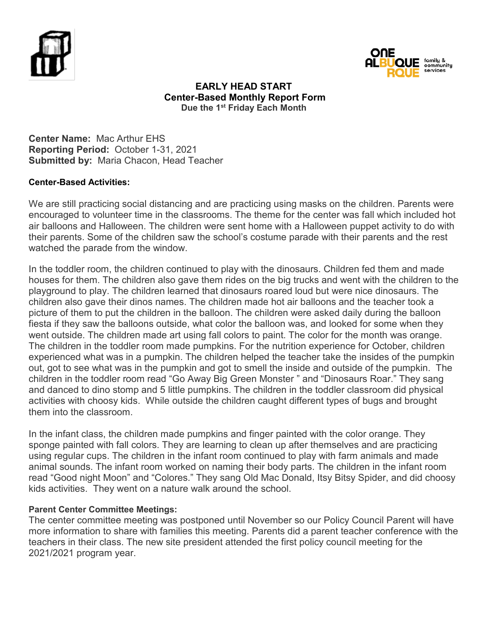



# **EARLY HEAD START Center-Based Monthly Report Form Due the 1st Friday Each Month**

**Center Name:** Mac Arthur EHS **Reporting Period:** October 1-31, 2021 **Submitted by:** Maria Chacon, Head Teacher

# **Center-Based Activities:**

We are still practicing social distancing and are practicing using masks on the children. Parents were encouraged to volunteer time in the classrooms. The theme for the center was fall which included hot air balloons and Halloween. The children were sent home with a Halloween puppet activity to do with their parents. Some of the children saw the school's costume parade with their parents and the rest watched the parade from the window.

In the toddler room, the children continued to play with the dinosaurs. Children fed them and made houses for them. The children also gave them rides on the big trucks and went with the children to the playground to play. The children learned that dinosaurs roared loud but were nice dinosaurs. The children also gave their dinos names. The children made hot air balloons and the teacher took a picture of them to put the children in the balloon. The children were asked daily during the balloon fiesta if they saw the balloons outside, what color the balloon was, and looked for some when they went outside. The children made art using fall colors to paint. The color for the month was orange. The children in the toddler room made pumpkins. For the nutrition experience for October, children experienced what was in a pumpkin. The children helped the teacher take the insides of the pumpkin out, got to see what was in the pumpkin and got to smell the inside and outside of the pumpkin. The children in the toddler room read "Go Away Big Green Monster " and "Dinosaurs Roar." They sang and danced to dino stomp and 5 little pumpkins. The children in the toddler classroom did physical activities with choosy kids. While outside the children caught different types of bugs and brought them into the classroom.

In the infant class, the children made pumpkins and finger painted with the color orange. They sponge painted with fall colors. They are learning to clean up after themselves and are practicing using regular cups. The children in the infant room continued to play with farm animals and made animal sounds. The infant room worked on naming their body parts. The children in the infant room read "Good night Moon" and "Colores." They sang Old Mac Donald, Itsy Bitsy Spider, and did choosy kids activities. They went on a nature walk around the school.

## **Parent Center Committee Meetings:**

The center committee meeting was postponed until November so our Policy Council Parent will have more information to share with families this meeting. Parents did a parent teacher conference with the teachers in their class. The new site president attended the first policy council meeting for the 2021/2021 program year.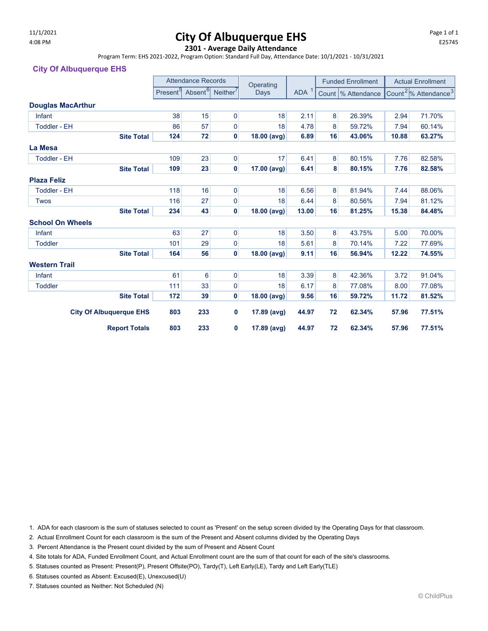# $11/1/2021$  Page 1 of 1 and  $11/1/2021$  Page 1 of 1

#### **2301 - Average Daily Attendance**

Program Term: EHS 2021-2022, Program Option: Standard Full Day, Attendance Date: 10/1/2021 - 10/31/2021

#### **City Of Albuquerque EHS**

|                          |                                |     | <b>Attendance Records</b>                                           |                |                   |                  |    | <b>Funded Enrollment</b> | <b>Actual Enrollment</b> |                                              |
|--------------------------|--------------------------------|-----|---------------------------------------------------------------------|----------------|-------------------|------------------|----|--------------------------|--------------------------|----------------------------------------------|
|                          |                                |     | Absent <sup>6</sup><br>Present <sup>9</sup><br>Neither <sup>'</sup> |                | Operating<br>Days | ADA <sup>1</sup> |    | Count  % Attendance      |                          | Count <sup>2</sup> % Attendance <sup>3</sup> |
| <b>Douglas MacArthur</b> |                                |     |                                                                     |                |                   |                  |    |                          |                          |                                              |
| Infant                   |                                | 38  | 15                                                                  | $\mathbf 0$    | 18                | 2.11             | 8  | 26.39%                   | 2.94                     | 71.70%                                       |
| <b>Toddler - EH</b>      |                                | 86  | 57                                                                  | 0              | 18                | 4.78             | 8  | 59.72%                   | 7.94                     | 60.14%                                       |
|                          | <b>Site Total</b>              | 124 | 72                                                                  | $\mathbf{0}$   | 18.00 (avg)       | 6.89             | 16 | 43.06%                   | 10.88                    | 63.27%                                       |
| La Mesa                  |                                |     |                                                                     |                |                   |                  |    |                          |                          |                                              |
| <b>Toddler - EH</b>      |                                | 109 | 23                                                                  | $\overline{0}$ | 17                | 6.41             | 8  | 80.15%                   | 7.76                     | 82.58%                                       |
|                          | <b>Site Total</b>              | 109 | 23                                                                  | 0              | 17.00 (avg)       | 6.41             | 8  | 80.15%                   | 7.76                     | 82.58%                                       |
| <b>Plaza Feliz</b>       |                                |     |                                                                     |                |                   |                  |    |                          |                          |                                              |
| <b>Toddler - EH</b>      |                                | 118 | 16                                                                  | $\mathbf 0$    | 18                | 6.56             | 8  | 81.94%                   | 7.44                     | 88.06%                                       |
| <b>Twos</b>              |                                | 116 | 27                                                                  | $\mathbf 0$    | 18                | 6.44             | 8  | 80.56%                   | 7.94                     | 81.12%                                       |
|                          | <b>Site Total</b>              | 234 | 43                                                                  | 0              | 18.00 (avg)       | 13.00            | 16 | 81.25%                   | 15.38                    | 84.48%                                       |
| <b>School On Wheels</b>  |                                |     |                                                                     |                |                   |                  |    |                          |                          |                                              |
| Infant                   |                                | 63  | 27                                                                  | $\mathbf 0$    | 18                | 3.50             | 8  | 43.75%                   | 5.00                     | 70.00%                                       |
| <b>Toddler</b>           |                                | 101 | 29                                                                  | 0              | 18                | 5.61             | 8  | 70.14%                   | 7.22                     | 77.69%                                       |
|                          | <b>Site Total</b>              | 164 | 56                                                                  | 0              | 18.00 (avg)       | 9.11             | 16 | 56.94%                   | 12.22                    | 74.55%                                       |
| <b>Western Trail</b>     |                                |     |                                                                     |                |                   |                  |    |                          |                          |                                              |
| Infant                   |                                | 61  | 6                                                                   | $\mathbf 0$    | 18                | 3.39             | 8  | 42.36%                   | 3.72                     | 91.04%                                       |
| <b>Toddler</b>           |                                | 111 | 33                                                                  | 0              | 18                | 6.17             | 8  | 77.08%                   | 8.00                     | 77.08%                                       |
|                          | <b>Site Total</b>              | 172 | 39                                                                  | $\mathbf 0$    | 18.00 (avg)       | 9.56             | 16 | 59.72%                   | 11.72                    | 81.52%                                       |
|                          | <b>City Of Albuquerque EHS</b> | 803 | 233                                                                 | 0              | 17.89 (avg)       | 44.97            | 72 | 62.34%                   | 57.96                    | 77.51%                                       |
|                          | <b>Report Totals</b>           | 803 | 233                                                                 | 0              | 17.89 (avg)       | 44.97            | 72 | 62.34%                   | 57.96                    | 77.51%                                       |

1. ADA for each clasroom is the sum of statuses selected to count as 'Present' on the setup screen divided by the Operating Days for that classroom.

2. Actual Enrollment Count for each classroom is the sum of the Present and Absent columns divided by the Operating Days

3. Percent Attendance is the Present count divided by the sum of Present and Absent Count

4. Site totals for ADA, Funded Enrollment Count, and Actual Enrollment count are the sum of that count for each of the site's classrooms.

5. Statuses counted as Present: Present(P), Present Offsite(PO), Tardy(T), Left Early(LE), Tardy and Left Early(TLE)

6. Statuses counted as Absent: Excused(E), Unexcused(U)

7. Statuses counted as Neither: Not Scheduled (N)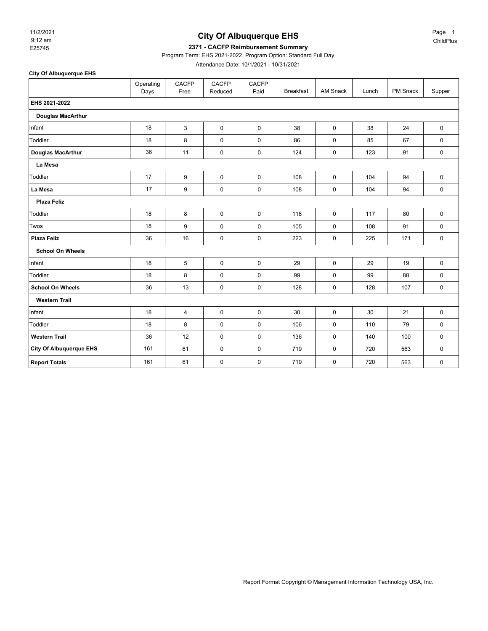9:12 am 11/2/2021

# **City Of Albuquerque EHS**

#### E25745 **2371 - CACFP Reimbursement Summary**

Program Term: EHS 2021-2022, Program Option: Standard Full Day

Attendance Date: 10/1/2021 - 10/31/2021

**City Of Albuquerque EHS**

|                                | Operating<br>Days | <b>CACFP</b><br>Free | <b>CACFP</b><br>Reduced | <b>CACFP</b><br>Paid | <b>Breakfast</b> | AM Snack    | Lunch | PM Snack | Supper      |
|--------------------------------|-------------------|----------------------|-------------------------|----------------------|------------------|-------------|-------|----------|-------------|
| EHS 2021-2022                  |                   |                      |                         |                      |                  |             |       |          |             |
| <b>Douglas MacArthur</b>       |                   |                      |                         |                      |                  |             |       |          |             |
| Infant                         | 18                | 3                    | 0                       | 0                    | 38               | 0           | 38    | 24       | 0           |
| Toddler                        | 18                | 8                    | $\pmb{0}$               | 0                    | 86               | 0           | 85    | 67       | 0           |
| Douglas MacArthur              | 36                | 11                   | $\pmb{0}$               | 0                    | 124              | 0           | 123   | 91       | $\mathbf 0$ |
| La Mesa                        |                   |                      |                         |                      |                  |             |       |          |             |
| Toddler                        | 17                | 9                    | $\mathbf 0$             | 0                    | 108              | $\mathbf 0$ | 104   | 94       | $\mathbf 0$ |
| La Mesa                        | 17                | 9                    | $\pmb{0}$               | 0                    | 108              | 0           | 104   | 94       | 0           |
| <b>Plaza Feliz</b>             |                   |                      |                         |                      |                  |             |       |          |             |
| Toddler                        | 18                | 8                    | 0                       | 0                    | 118              | 0           | 117   | 80       | $\mathbf 0$ |
| Twos                           | 18                | 9                    | $\pmb{0}$               | 0                    | 105              | 0           | 108   | 91       | 0           |
| <b>Plaza Feliz</b>             | 36                | 16                   | $\pmb{0}$               | 0                    | 223              | 0           | 225   | 171      | 0           |
| <b>School On Wheels</b>        |                   |                      |                         |                      |                  |             |       |          |             |
| Infant                         | 18                | 5                    | 0                       | 0                    | 29               | 0           | 29    | 19       | 0           |
| Toddler                        | 18                | 8                    | $\mathbf 0$             | 0                    | 99               | 0           | 99    | 88       | $\mathbf 0$ |
| <b>School On Wheels</b>        | 36                | 13                   | 0                       | 0                    | 128              | 0           | 128   | 107      | 0           |
| <b>Western Trail</b>           |                   |                      |                         |                      |                  |             |       |          |             |
| Infant                         | 18                | $\overline{4}$       | 0                       | 0                    | 30               | 0           | 30    | 21       | 0           |
| Toddler                        | 18                | 8                    | $\pmb{0}$               | 0                    | 106              | 0           | 110   | 79       | $\mathbf 0$ |
| <b>Western Trail</b>           | 36                | 12                   | $\pmb{0}$               | 0                    | 136              | 0           | 140   | 100      | $\pmb{0}$   |
| <b>City Of Albuquerque EHS</b> | 161               | 61                   | $\mathbf 0$             | 0                    | 719              | $\mathbf 0$ | 720   | 563      | $\mathbf 0$ |
| <b>Report Totals</b>           | 161               | 61                   | $\pmb{0}$               | 0                    | 719              | 0           | 720   | 563      | 0           |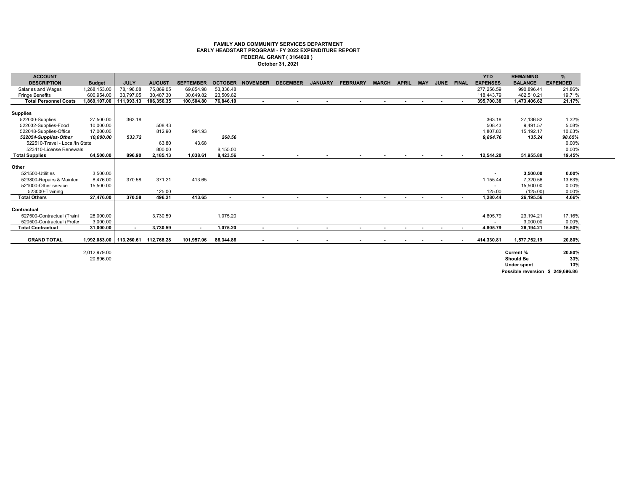#### **FAMILY AND COMMUNITY SERVICES DEPARTMENT EARLY HEADSTART PROGRAM - FY 2022 EXPENDITURE REPORT FEDERAL GRANT ( 3164020 ) October 31, 2021**

| <b>ACCOUNT</b>                 |                           |             |               |                  |           |                           |                          |                |                       |        |                  |                |        |            | <b>YTD</b>      | <b>REMAINING</b>                 | %               |
|--------------------------------|---------------------------|-------------|---------------|------------------|-----------|---------------------------|--------------------------|----------------|-----------------------|--------|------------------|----------------|--------|------------|-----------------|----------------------------------|-----------------|
| <b>DESCRIPTION</b>             | <b>Budget</b>             | <b>JULY</b> | <b>AUGUST</b> | <b>SEPTEMBER</b> |           | OCTOBER NOVEMBER DECEMBER |                          | <b>JANUARY</b> | <b>FEBRUARY MARCH</b> |        | <b>APRIL MAY</b> |                |        | JUNE FINAL | <b>EXPENSES</b> | <b>BALANCE</b>                   | <b>EXPENDED</b> |
| Salaries and Wages             | 1,268,153.00              | 78,196.08   | 75,869.05     | 69,854.98        | 53,336.48 |                           |                          |                |                       |        |                  |                |        |            | 277,256.59      | 990.896.41                       | 21.86%          |
| <b>Fringe Benefits</b>         | 600,954.00                | 33,797.05   | 30,487.30     | 30,649.82        | 23,509.62 |                           |                          |                |                       |        |                  |                |        |            | 118,443.79      | 482,510.21                       | 19.71%          |
| <b>Total Personnel Costs</b>   | 1.869.107.00              | 111.993.13  | 106.356.35    | 100.504.80       | 76.846.10 | $\sim$                    | $\sim$                   | $\sim$         | $\sim$                | $\sim$ | $\sim$           | $\sim$         |        |            | 395,700.38      | 1,473,406.62                     | 21.17%          |
|                                |                           |             |               |                  |           |                           |                          |                |                       |        |                  |                |        |            |                 |                                  |                 |
| <b>Supplies</b>                |                           |             |               |                  |           |                           |                          |                |                       |        |                  |                |        |            |                 |                                  |                 |
| 522000-Supplies                | 27,500.00                 | 363.18      |               |                  |           |                           |                          |                |                       |        |                  |                |        |            | 363.18          | 27,136.82                        | 1.32%           |
| 522032-Supplies-Food           | 10,000.00                 |             | 508.43        |                  |           |                           |                          |                |                       |        |                  |                |        |            | 508.43          | 9,491.57                         | 5.08%           |
| 522048-Supplies-Office         | 17,000.00                 |             | 812.90        | 994.93           |           |                           |                          |                |                       |        |                  |                |        |            | 1,807.83        | 15,192.17                        | 10.63%          |
| 522054-Supplies-Other          | 10,000.00                 | 533.72      |               |                  | 268.56    |                           |                          |                |                       |        |                  |                |        |            | 9,864.76        | 135.24                           | 98.65%          |
| 522510-Travel - Local/In State |                           |             | 63.80         | 43.68            |           |                           |                          |                |                       |        |                  |                |        |            |                 |                                  | 0.00%           |
| 523410-License Renewals        |                           |             | 800.00        |                  | 8,155.00  |                           |                          |                |                       |        |                  |                |        |            |                 |                                  | 0.00%           |
| <b>Total Supplies</b>          | 64.500.00                 | 896.90      | 2,185.13      | 1.038.61         | 8.423.56  | $\sim$                    | $\overline{\phantom{a}}$ | $\sim$         | $\sim$                | $\sim$ | $\sim$           | $\sim$         | $\sim$ | $\sim$     | 12,544.20       | 51.955.80                        | 19.45%          |
|                                |                           |             |               |                  |           |                           |                          |                |                       |        |                  |                |        |            |                 |                                  |                 |
| Other                          |                           |             |               |                  |           |                           |                          |                |                       |        |                  |                |        |            |                 |                                  |                 |
| 521500-Utilities               | 3,500.00                  |             |               |                  |           |                           |                          |                |                       |        |                  |                |        |            | $\blacksquare$  | 3,500.00                         | $0.00\%$        |
| 523800-Repairs & Mainten       | 8,476.00                  | 370.58      | 371.21        | 413.65           |           |                           |                          |                |                       |        |                  |                |        |            | 1,155.44        | 7,320.56                         | 13.63%          |
| 521000-Other service           | 15,500.00                 |             |               |                  |           |                           |                          |                |                       |        |                  |                |        |            | ٠               | 15,500.00                        | 0.00%           |
| 523000-Training                |                           |             | 125.00        |                  |           |                           |                          |                |                       |        |                  |                |        |            | 125.00          | (125.00)                         | 0.00%           |
| <b>Total Others</b>            | 27.476.00                 | 370.58      | 496.21        | 413.65           | $\sim$    |                           | $\sim$                   | $\blacksquare$ | $\sim$                | $\sim$ | $\blacksquare$   | $\blacksquare$ |        | $\sim$     | 1.280.44        | 26.195.56                        | 4.66%           |
|                                |                           |             |               |                  |           |                           |                          |                |                       |        |                  |                |        |            |                 |                                  |                 |
| Contractual                    |                           |             |               |                  |           |                           |                          |                |                       |        |                  |                |        |            |                 |                                  |                 |
| 527500-Contractual (Traini     | 28,000.00                 |             | 3,730.59      |                  | 1,075.20  |                           |                          |                |                       |        |                  |                |        |            | 4,805.79        | 23,194.21                        | 17.16%          |
| 520500-Contractual (Profe:     | 3,000.00                  |             |               |                  |           |                           |                          |                |                       |        |                  |                |        |            |                 | 3.000.00                         | 0.00%           |
| <b>Total Contractual</b>       | 31,000.00                 |             | 3,730.59      | <b>Section</b>   | 1.075.20  |                           |                          |                | $\sim$                |        |                  |                |        |            | 4,805.79        | 26.194.21                        | 15.50%          |
|                                |                           |             |               |                  |           |                           |                          |                |                       |        |                  |                |        |            |                 |                                  |                 |
| <b>GRAND TOTAL</b>             | 1,992,083.00   113,260.61 |             | 112,768.28    | 101,957.06       | 86,344.86 |                           |                          |                |                       |        |                  |                |        |            | 414,330.81      | 1,577,752.19                     | 20.80%          |
|                                |                           |             |               |                  |           |                           |                          |                |                       |        |                  |                |        |            |                 |                                  |                 |
|                                | 2,012,979.00              |             |               |                  |           |                           |                          |                |                       |        |                  |                |        |            |                 | Current %                        | 20.80%          |
|                                | 20,896.00                 |             |               |                  |           |                           |                          |                |                       |        |                  |                |        |            |                 | <b>Should Be</b>                 | 33%             |
|                                |                           |             |               |                  |           |                           |                          |                |                       |        |                  |                |        |            |                 | <b>Under spent</b>               | 13%             |
|                                |                           |             |               |                  |           |                           |                          |                |                       |        |                  |                |        |            |                 | Possible reversion \$ 249,696.86 |                 |